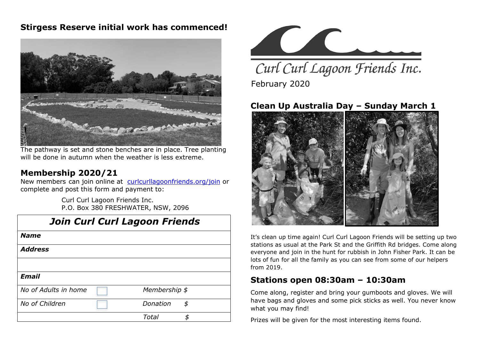#### **Stirgess Reserve initial work has commenced!**



The pathway is set and stone benches are in place. Tree planting will be done in autumn when the weather is less extreme.

#### **Membership 2020/21**

New members can join online at [curlcurllagoonfriends.org/join](http://www.curlcurllagoonfriends.org/join) or complete and post this form and payment to:

> Curl Curl Lagoon Friends Inc. P.O. Box 380 FRESHWATER, NSW, 2096

| <b>Name</b>          |               |    |
|----------------------|---------------|----|
| <b>Address</b>       |               |    |
|                      |               |    |
| <b>Email</b>         |               |    |
| No of Adults in home | Membership \$ |    |
| No of Children       | Donation      | \$ |
|                      | Total         | Я  |



Curl Curl Lagoon Friends Inc. February 2020

## **Clean Up Australia Day – Sunday March 1**



It's clean up time again! Curl Curl Lagoon Friends will be setting up two stations as usual at the Park St and the Griffith Rd bridges. Come along everyone and join in the hunt for rubbish in John Fisher Park. It can be lots of fun for all the family as you can see from some of our helpers from 2019.

#### **Stations open 08:30am – 10:30am**

Come along, register and bring your gumboots and gloves. We will have bags and gloves and some pick sticks as well. You never know what you may find!

Prizes will be given for the most interesting items found.